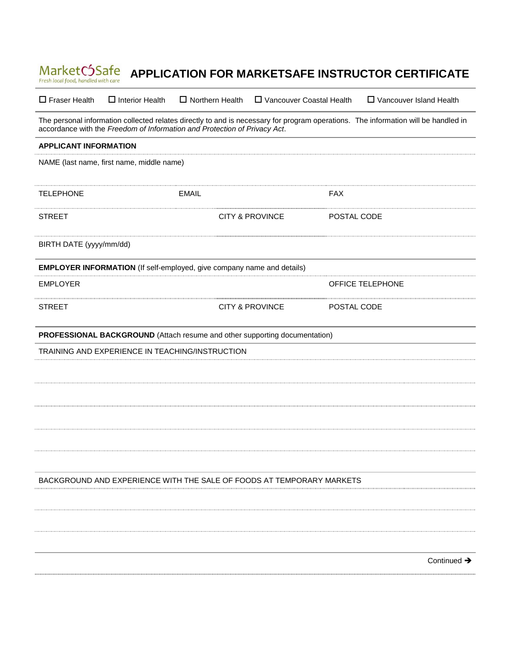| MarketC5Safe<br>Fresh local food, handled with care                                                                                                                                                             |                        |                                           | APPLICATION FOR MARKETSAFE INSTRUCTOR CERTIFICATE |
|-----------------------------------------------------------------------------------------------------------------------------------------------------------------------------------------------------------------|------------------------|-------------------------------------------|---------------------------------------------------|
| $\Box$ Fraser Health<br>$\Box$ Interior Health                                                                                                                                                                  | $\Box$ Northern Health | □ Vancouver Coastal Health                | □ Vancouver Island Health                         |
| The personal information collected relates directly to and is necessary for program operations. The information will be handled in<br>accordance with the Freedom of Information and Protection of Privacy Act. |                        |                                           |                                                   |
| <b>APPLICANT INFORMATION</b>                                                                                                                                                                                    |                        |                                           |                                                   |
| NAME (last name, first name, middle name)                                                                                                                                                                       |                        |                                           |                                                   |
| <b>TELEPHONE</b>                                                                                                                                                                                                | <b>EMAIL</b>           | <b>FAX</b>                                |                                                   |
| <b>STREET</b>                                                                                                                                                                                                   |                        | <b>CITY &amp; PROVINCE</b><br>POSTAL CODE |                                                   |
| BIRTH DATE (yyyy/mm/dd)                                                                                                                                                                                         |                        |                                           |                                                   |
| <b>EMPLOYER INFORMATION</b> (If self-employed, give company name and details)                                                                                                                                   |                        |                                           |                                                   |
| <b>EMPLOYER</b>                                                                                                                                                                                                 |                        |                                           | <b>OFFICE TELEPHONE</b>                           |
| <b>STREET</b>                                                                                                                                                                                                   |                        | <b>CITY &amp; PROVINCE</b><br>POSTAL CODE |                                                   |
| PROFESSIONAL BACKGROUND (Attach resume and other supporting documentation)                                                                                                                                      |                        |                                           |                                                   |
| TRAINING AND EXPERIENCE IN TEACHING/INSTRUCTION                                                                                                                                                                 |                        |                                           |                                                   |
|                                                                                                                                                                                                                 |                        |                                           |                                                   |
|                                                                                                                                                                                                                 |                        |                                           |                                                   |
|                                                                                                                                                                                                                 |                        |                                           |                                                   |
|                                                                                                                                                                                                                 |                        |                                           |                                                   |
|                                                                                                                                                                                                                 |                        |                                           |                                                   |
| BACKGROUND AND EXPERIENCE WITH THE SALE OF FOODS AT TEMPORARY MARKETS                                                                                                                                           |                        |                                           |                                                   |
|                                                                                                                                                                                                                 |                        |                                           |                                                   |
|                                                                                                                                                                                                                 |                        |                                           |                                                   |
|                                                                                                                                                                                                                 |                        |                                           |                                                   |
|                                                                                                                                                                                                                 |                        |                                           | Continued $\rightarrow$                           |